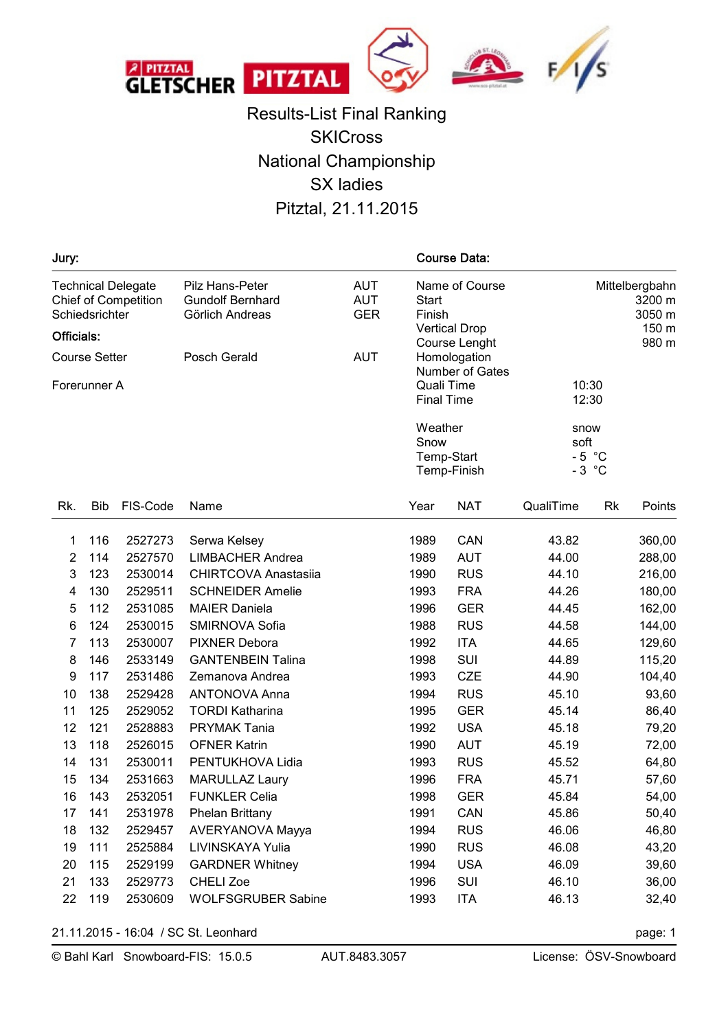

Results-List Final Ranking **SKICross** National Championship SX ladies Pitztal, 21.11.2015

| Jury:                                |                |                                                          |                                                               |                                        |                                                                  | <b>Course Data:</b>           |                                    |    |                                             |  |
|--------------------------------------|----------------|----------------------------------------------------------|---------------------------------------------------------------|----------------------------------------|------------------------------------------------------------------|-------------------------------|------------------------------------|----|---------------------------------------------|--|
| Officials:                           | Schiedsrichter | <b>Technical Delegate</b><br><b>Chief of Competition</b> | Pilz Hans-Peter<br><b>Gundolf Bernhard</b><br>Görlich Andreas | <b>AUT</b><br><b>AUT</b><br><b>GER</b> | Name of Course<br><b>Start</b><br>Finish<br><b>Vertical Drop</b> |                               |                                    |    | Mittelbergbahn<br>3200 m<br>3050 m<br>150 m |  |
| Posch Gerald<br><b>Course Setter</b> |                |                                                          |                                                               | <b>AUT</b>                             |                                                                  | Course Lenght<br>Homologation |                                    |    | 980 m                                       |  |
|                                      | Forerunner A   |                                                          |                                                               |                                        | <b>Final Time</b>                                                | Number of Gates<br>Quali Time | 10:30<br>12:30                     |    |                                             |  |
|                                      |                |                                                          |                                                               |                                        | Weather<br>Snow<br>Temp-Start<br>Temp-Finish                     |                               | snow<br>soft<br>$-5$ °C<br>$-3$ °C |    |                                             |  |
| Rk.                                  | Bib            | FIS-Code                                                 | Name                                                          |                                        | Year                                                             | <b>NAT</b>                    | QualiTime                          | Rk | Points                                      |  |
| 1                                    | 116            | 2527273                                                  | Serwa Kelsey                                                  |                                        | 1989                                                             | CAN                           | 43.82                              |    | 360,00                                      |  |
| $\overline{2}$                       | 114            | 2527570                                                  | <b>LIMBACHER Andrea</b>                                       |                                        | 1989                                                             | <b>AUT</b>                    | 44.00                              |    | 288,00                                      |  |
| 3                                    | 123            | 2530014                                                  | <b>CHIRTCOVA Anastasiia</b>                                   |                                        | 1990                                                             | <b>RUS</b>                    | 44.10                              |    | 216,00                                      |  |
| 4                                    | 130            | 2529511                                                  | <b>SCHNEIDER Amelie</b>                                       |                                        | 1993                                                             | <b>FRA</b>                    | 44.26                              |    | 180,00                                      |  |
| 5                                    | 112            | 2531085                                                  | <b>MAIER Daniela</b>                                          |                                        | 1996                                                             | <b>GER</b>                    | 44.45                              |    | 162,00                                      |  |
| 6                                    | 124            | 2530015                                                  | SMIRNOVA Sofia                                                |                                        | 1988                                                             | <b>RUS</b>                    | 44.58                              |    | 144,00                                      |  |
| $\overline{7}$                       | 113            | 2530007                                                  | <b>PIXNER Debora</b>                                          |                                        | 1992                                                             | <b>ITA</b>                    | 44.65                              |    | 129,60                                      |  |
| 8                                    | 146            | 2533149                                                  | <b>GANTENBEIN Talina</b>                                      |                                        | 1998                                                             | SUI                           | 44.89                              |    | 115,20                                      |  |
| 9                                    | 117            | 2531486                                                  | Zemanova Andrea                                               |                                        | 1993                                                             | <b>CZE</b>                    | 44.90                              |    | 104,40                                      |  |
| 10                                   | 138            | 2529428                                                  | <b>ANTONOVA Anna</b>                                          |                                        | 1994                                                             | <b>RUS</b>                    | 45.10                              |    | 93,60                                       |  |
| 11                                   | 125            | 2529052                                                  | <b>TORDI Katharina</b>                                        |                                        | 1995                                                             | <b>GER</b>                    | 45.14                              |    | 86,40                                       |  |
| 12                                   | 121            | 2528883                                                  | <b>PRYMAK Tania</b>                                           |                                        | 1992                                                             | <b>USA</b>                    | 45.18                              |    | 79,20                                       |  |
| 13                                   | 118            | 2526015                                                  | <b>OFNER Katrin</b>                                           |                                        | 1990                                                             | <b>AUT</b>                    | 45.19                              |    | 72,00                                       |  |
| 14                                   | 131            | 2530011                                                  | PENTUKHOVA Lidia                                              |                                        | 1993                                                             | <b>RUS</b>                    | 45.52                              |    | 64,80                                       |  |
| 15                                   | 134            | 2531663                                                  | MARULLAZ Laury                                                |                                        | 1996                                                             | <b>FRA</b>                    | 45.71                              |    | 57,60                                       |  |
| 16                                   | 143            | 2532051                                                  | <b>FUNKLER Celia</b>                                          |                                        | 1998                                                             | <b>GER</b>                    | 45.84                              |    | 54,00                                       |  |
| 17                                   | 141            | 2531978                                                  | <b>Phelan Brittany</b>                                        |                                        | 1991                                                             | CAN                           | 45.86                              |    | 50,40                                       |  |
| 18                                   | 132            | 2529457                                                  | AVERYANOVA Mayya                                              |                                        | 1994                                                             | <b>RUS</b>                    | 46.06                              |    | 46,80                                       |  |
| 19                                   | 111            | 2525884                                                  | LIVINSKAYA Yulia                                              |                                        | 1990                                                             | <b>RUS</b>                    | 46.08                              |    | 43,20                                       |  |
| 20                                   | 115            | 2529199                                                  | <b>GARDNER Whitney</b>                                        |                                        | 1994                                                             | <b>USA</b>                    | 46.09                              |    | 39,60                                       |  |
| 21                                   | 133            | 2529773                                                  | <b>CHELI Zoe</b>                                              |                                        | 1996                                                             | SUI                           | 46.10                              |    | 36,00                                       |  |
| 22                                   | 119            | 2530609                                                  | <b>WOLFSGRUBER Sabine</b>                                     |                                        | 1993                                                             | <b>ITA</b>                    | 46.13                              |    | 32,40                                       |  |

21.11.2015 - 16:04 / SC St. Leonhard page: 1